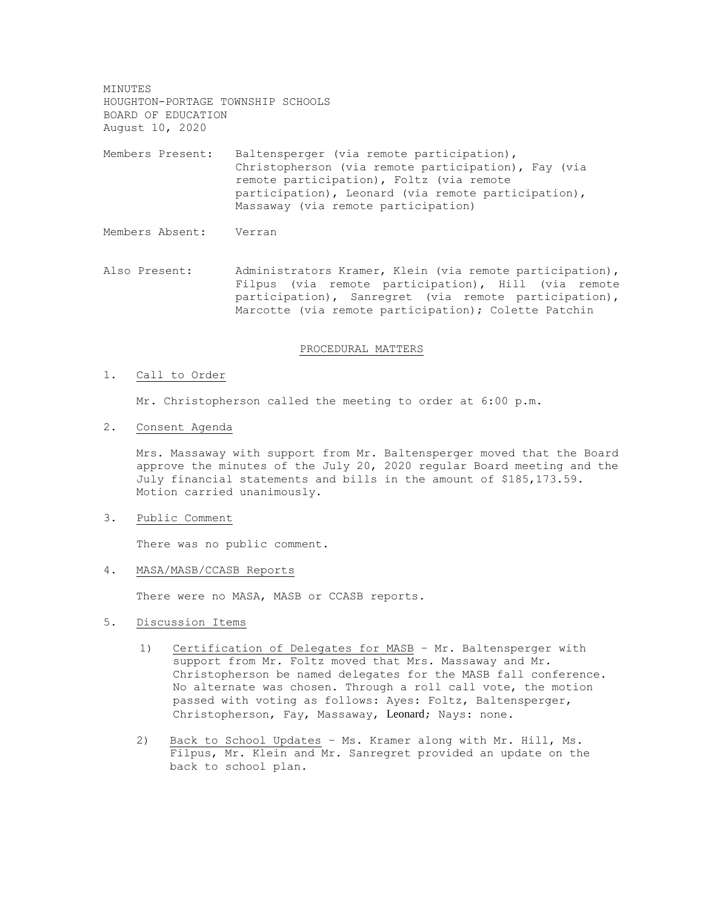MINUTES HOUGHTON-PORTAGE TOWNSHIP SCHOOLS BOARD OF EDUCATION August 10, 2020

Members Present: Baltensperger (via remote participation), Christopherson (via remote participation), Fay (via remote participation), Foltz (via remote participation), Leonard (via remote participation), Massaway (via remote participation)

Members Absent: Verran

Also Present: Administrators Kramer, Klein (via remote participation), Filpus (via remote participation), Hill (via remote participation), Sanregret (via remote participation), Marcotte (via remote participation); Colette Patchin

#### PROCEDURAL MATTERS

#### 1. Call to Order

Mr. Christopherson called the meeting to order at 6:00 p.m.

2. Consent Agenda

Mrs. Massaway with support from Mr. Baltensperger moved that the Board approve the minutes of the July 20, 2020 regular Board meeting and the July financial statements and bills in the amount of \$185,173.59. Motion carried unanimously.

## 3. Public Comment

There was no public comment.

### 4. MASA/MASB/CCASB Reports

There were no MASA, MASB or CCASB reports.

- 5. Discussion Items
	- 1) Certification of Delegates for MASB Mr. Baltensperger with support from Mr. Foltz moved that Mrs. Massaway and Mr. Christopherson be named delegates for the MASB fall conference. No alternate was chosen. Through a roll call vote, the motion passed with voting as follows: Ayes: Foltz, Baltensperger, Christopherson, Fay, Massaway, Leonard; Nays: none.
	- 2) Back to School Updates Ms. Kramer along with Mr. Hill, Ms. Filpus, Mr. Klein and Mr. Sanregret provided an update on the back to school plan.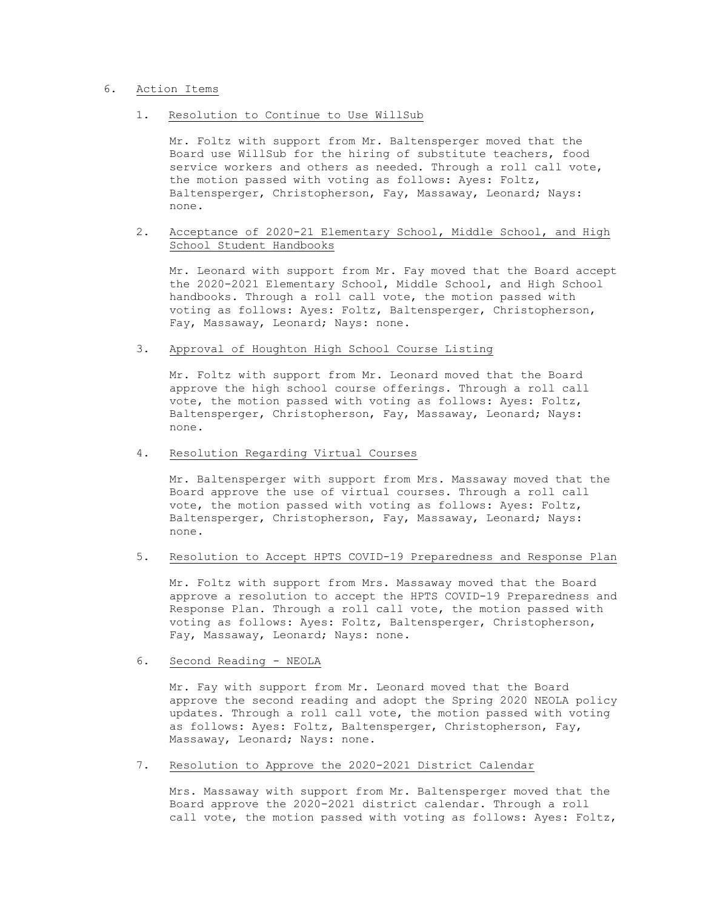## 6. Action Items

1. Resolution to Continue to Use WillSub

Mr. Foltz with support from Mr. Baltensperger moved that the Board use WillSub for the hiring of substitute teachers, food service workers and others as needed. Through a roll call vote, the motion passed with voting as follows: Ayes: Foltz, Baltensperger, Christopherson, Fay, Massaway, Leonard; Nays: none.

2. Acceptance of 2020-21 Elementary School, Middle School, and High School Student Handbooks

Mr. Leonard with support from Mr. Fay moved that the Board accept the 2020-2021 Elementary School, Middle School, and High School handbooks. Through a roll call vote, the motion passed with voting as follows: Ayes: Foltz, Baltensperger, Christopherson, Fay, Massaway, Leonard; Nays: none.

3. Approval of Houghton High School Course Listing

Mr. Foltz with support from Mr. Leonard moved that the Board approve the high school course offerings. Through a roll call vote, the motion passed with voting as follows: Ayes: Foltz, Baltensperger, Christopherson, Fay, Massaway, Leonard; Nays: none.

4. Resolution Regarding Virtual Courses

Mr. Baltensperger with support from Mrs. Massaway moved that the Board approve the use of virtual courses. Through a roll call vote, the motion passed with voting as follows: Ayes: Foltz, Baltensperger, Christopherson, Fay, Massaway, Leonard; Nays: none.

5. Resolution to Accept HPTS COVID-19 Preparedness and Response Plan

Mr. Foltz with support from Mrs. Massaway moved that the Board approve a resolution to accept the HPTS COVID-19 Preparedness and Response Plan. Through a roll call vote, the motion passed with voting as follows: Ayes: Foltz, Baltensperger, Christopherson, Fay, Massaway, Leonard; Nays: none.

6. Second Reading - NEOLA

Mr. Fay with support from Mr. Leonard moved that the Board approve the second reading and adopt the Spring 2020 NEOLA policy updates. Through a roll call vote, the motion passed with voting as follows: Ayes: Foltz, Baltensperger, Christopherson, Fay, Massaway, Leonard; Nays: none.

7. Resolution to Approve the 2020-2021 District Calendar

Mrs. Massaway with support from Mr. Baltensperger moved that the Board approve the 2020-2021 district calendar. Through a roll call vote, the motion passed with voting as follows: Ayes: Foltz,